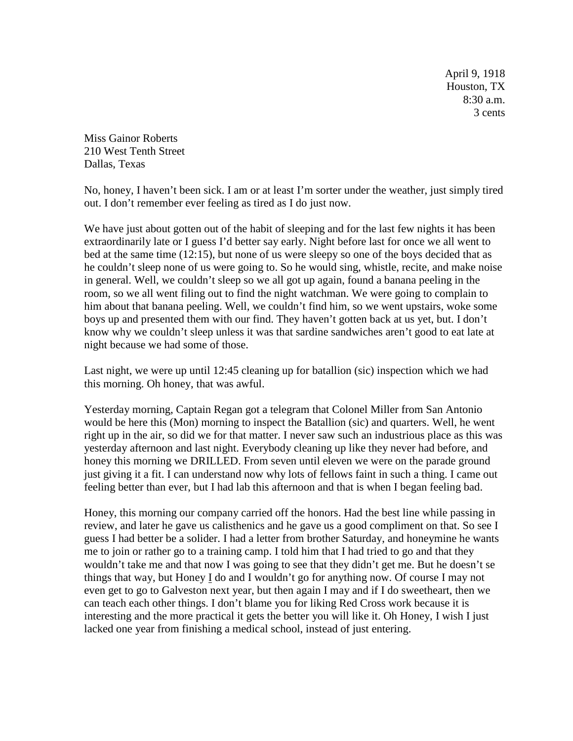April 9, 1918 Houston, TX 8:30 a.m. 3 cents

Miss Gainor Roberts 210 West Tenth Street Dallas, Texas

No, honey, I haven't been sick. I am or at least I'm sorter under the weather, just simply tired out. I don't remember ever feeling as tired as I do just now.

We have just about gotten out of the habit of sleeping and for the last few nights it has been extraordinarily late or I guess I'd better say early. Night before last for once we all went to bed at the same time (12:15), but none of us were sleepy so one of the boys decided that as he couldn't sleep none of us were going to. So he would sing, whistle, recite, and make noise in general. Well, we couldn't sleep so we all got up again, found a banana peeling in the room, so we all went filing out to find the night watchman. We were going to complain to him about that banana peeling. Well, we couldn't find him, so we went upstairs, woke some boys up and presented them with our find. They haven't gotten back at us yet, but. I don't know why we couldn't sleep unless it was that sardine sandwiches aren't good to eat late at night because we had some of those.

Last night, we were up until 12:45 cleaning up for batallion (sic) inspection which we had this morning. Oh honey, that was awful.

Yesterday morning, Captain Regan got a telegram that Colonel Miller from San Antonio would be here this (Mon) morning to inspect the Batallion (sic) and quarters. Well, he went right up in the air, so did we for that matter. I never saw such an industrious place as this was yesterday afternoon and last night. Everybody cleaning up like they never had before, and honey this morning we DRILLED. From seven until eleven we were on the parade ground just giving it a fit. I can understand now why lots of fellows faint in such a thing. I came out feeling better than ever, but I had lab this afternoon and that is when I began feeling bad.

Honey, this morning our company carried off the honors. Had the best line while passing in review, and later he gave us calisthenics and he gave us a good compliment on that. So see I guess I had better be a solider. I had a letter from brother Saturday, and honeymine he wants me to join or rather go to a training camp. I told him that I had tried to go and that they wouldn't take me and that now I was going to see that they didn't get me. But he doesn't se things that way, but Honey I do and I wouldn't go for anything now. Of course I may not even get to go to Galveston next year, but then again I may and if I do sweetheart, then we can teach each other things. I don't blame you for liking Red Cross work because it is interesting and the more practical it gets the better you will like it. Oh Honey, I wish I just lacked one year from finishing a medical school, instead of just entering.